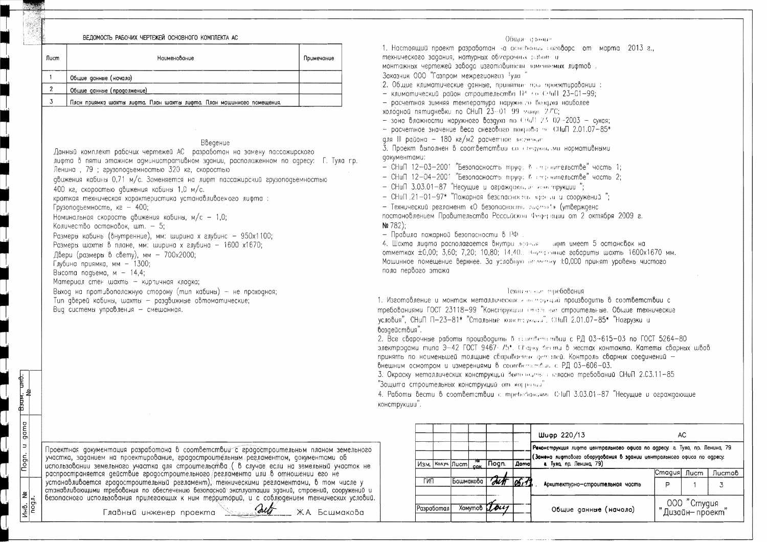## ВЕЛОМОСТЬ РАБОЧИХ ЧЕРТЕЖЕЙ ОСНОВНОГО КОМПЛЕКТА АС

| Лист | Наименование                                                          | Примечание |
|------|-----------------------------------------------------------------------|------------|
|      | Общие данные (начало)                                                 |            |
|      | Общие данные (продолжение)                                            |            |
|      | План приямка шахты лифта. План шахты лифта. План машинного помещения. |            |

## Введение

Данный комплект рабочих чертежей АС разработан на замену пассажирского лифта в пяти этажном административном здании, расположенном по адресу: Г. Тула гр. Ленина, 79; грузоподъемностью 320 кг, скоростью авижения кабины 0.71 м/с. Заменяется на лифт пассажирский грузопоаремностью 400 кг, скоростью движения кабины 1,0 м/с. краткая техническая характеристика устанавливаемого лифта: Грузоподъемность, ка - 400; Номинальная скорость авижения кабины, м/с - 1,0; Количество остановок, шт.  $-5$ ; Размеры кабинь (внутренние), мм: ширина х глубинс - 950x1100; Размеры шахты в плане, мм: ширина х глубина - 1600 х1670; Двери (размеры в свету), мм - 700х2000; Глубина приямка, мм - 1300; Высота подъема, м -  $14.4$ ; Материал стен шахть - кирпичная кладка; Выход на противоположную сторону (тип кабины) - не проходная; Tun дверей кабины, шахты - раздвижные автоматические;

Вид системы управления - смешанная.

<del>UHD.</del>

學

gama

 $|z|$ 

Nogn.

Общие спонят

1. Настоящий проект разработан на основании соговора от марта 2013 г., Texturecons superforming AC.  $\mathbf{z}$ .<br>то центральново офиса по адресу: г. Тула, пр. Ленина, 79 оборудования в здании центрального офиса по одресу. нина, 79). Cmagus *I*lucm  $\sqrt{\text{Iucmod}}$ строительная часть P  $\mathcal{F}_{\mathcal{F}}$ 000 "Студия анн<del>ые</del> (начало). **Лизайн-проект** 

- 
- 

- 
- 
- 

монтажных чертежей завода изготовителя заменяемых лифтов. Заказчик ООО "Газпром межрегионгаз Тула" - климатический район строительства  $11^k + 6$  CHall 23-01-99; - расчетная зимняя температура наружныю возджа наиболее холодной пятидневки по СНиП  $23-01-99$  манус 27°С; - зона влажности наружного воздуха по СПиП 2.5 02-2003 - сухая; - расчетное значение веса снегового покрова эт СНиП 2.01.07-85\* аля III района - 180 кг/м2 расчетное возчетае документами: - СНиП 12-03-2001 "Безопасность труда В ст. рантельстве" часть 1; - CHull  $12-04-2001$  "Безопасность труда в строительстве" часть 2; - CHuП.21-01-97\* "Пожарная безопасностя, части и сооружений"; - Технический регламент «О безопасности лифто!» (утвержаенс

технического задания, натурных обмерочных работ и 2. Общие климатические аанные, принятые вза проектировании: 3. Проект выполнен в соответствии со станов, ми новмативными - CHull 3.03.01-87 "Hecywe и ограждающие конструкции"; постановлением Правительства Российской Федериции от 2 октября 2009 г.  $Ne 782$ : - Правила пожарной безопасности в РФ 4. Шахта лифта располагается внутри задали пифт имеет 5 остановок на отметках ±0,00; 3,60; 7,20; 10,80; 14,40. Выутренние габариты шахть 1600х1670 мм. Машинное помещение верхнее. За условную ответных +0,000 принят уровень чистого пола первого этажа 1. Изготовление и монтаж металлических калентруаций производить в соответствии с требованиями ГОСТ 23118-99 "Конструкции и пользов не строительные. Общие технические условия", СНиП П-23-81\* "Стальные констатумаци", СНиП 2.01.07-85\* "Нагрузки и возаействия". 2. Все сварочные работы производить в стольветельной с РД 03-615-03 по ГОСТ 5264-80 электродами типа Э-42 ГОСТ 9467-75\*. Спорку бести в местах контакта. Катеты сварных швов принять по наименьшей толщине свариваемых деталей. Контроль сварных соединений -Внешним осмотром и измерениями в соответателя с РД 03-606-03. 3. Окраску металлических конструкций выпознать в жласно требований СНиП 2.С3.11-85 "Защита строительных конструкций от корразов" 4. Работы вести в соответствии с треборания СНиП 3.03.01-87 "Несущие и ограждающие конструкции".

|      |            |              |            |                                 |             | Шифр 220/13                             |
|------|------------|--------------|------------|---------------------------------|-------------|-----------------------------------------|
|      |            |              |            |                                 |             | Реконструкция лифт<br>(Замена лифтового |
| Изм. |            | Колуч   Лист | 'NT<br>COK | <b>Nogn.</b>                    | <b>Domo</b> | а. Тула, пр. Лен                        |
| гип  |            | Башмакова    |            | $\overline{\text{diff}}$ 05, 13 |             | Архитектурно-                           |
|      | Разработал |              |            | <b>XOMYMOB</b> Lous             |             | Obwue go                                |

| Проектная документация разработана в соответствии с градостроительным планом земельного          |
|--------------------------------------------------------------------------------------------------|
| участка, заданием на проектирование, градостроительным регламентом, документами об               |
| использовании земельного участка для строительства (в случае если на земельный участок не        |
| распространяется действие градостроительного регламента или в отношении его не                   |
| устанавливается градостроительный регламент), техническими регламентами, в том числе у           |
| станавливающими требования по обеспечению безопасной эксплуатации зданий, строений, сооружений и |
| безопасного использования прилегающих к ним территорий, и с соблюдением технических условий.     |

Главный инженер проекта

**But** 

Ж.А. Бсшмакова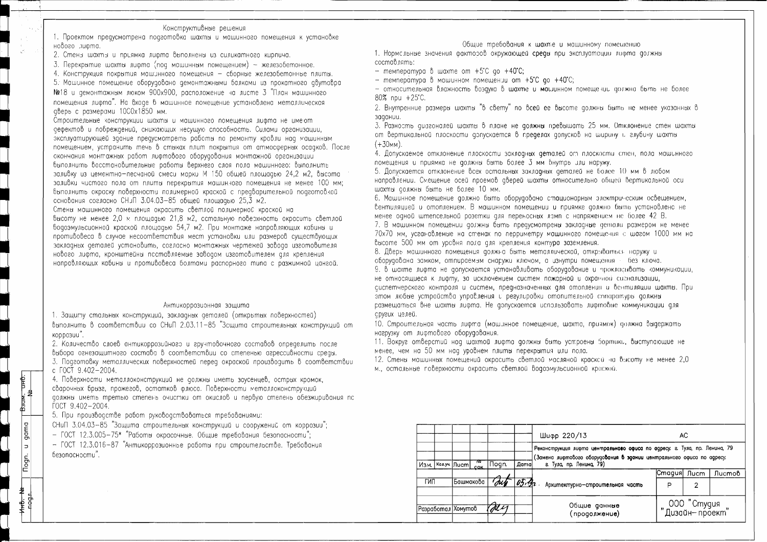### Конструктивные решения

1. Проектом предусмотрена подготовка шахты и машинного помещения к установке нового лифта.

2. Стены шахты и приямка лифта выполнены из силикатного кирпича.

3. Перекрытие шахты лифта (поа машинным помешением) - железобетонное.

4. Конструкция покрытия машинного помещения - сборные железобетонные плиты.

5. Машинное помещение оборудовано демонтажными балками из прокатного двутавра

№18 и демонтажным люком 900х900, расположение на листе 3 "План машинного помещения лифта". На входе в машинное помещение установлена металлическая аверь с размерами 1000х1850 мм.

Строительные конструкции шахты и машинного помещения лифта не имеют дефектов и повреждений, снижающих несущую способность. Силами организации, эксплуатирующей здание предусмотреть работы по ремонту кровли над машинным помещением, устранить течь в стыках плит покрытия от атмосферных осадков. После окончания монтажных работ лифтового оборудования монтажной организации быполнить восстановительные работы верхнего слоя пола машинного: выполнить заливку из цементно-песчаной смеси марки М 150 общей площадью 24,2 м2, высота заливки чистого пола от плиты перекрытия машинного помещения не менее 100 мм; выполнить окраску поверхности полимерной краской с предварительной подготовлой основания согласно СН<sub>J</sub>П 3.04.03-85 общей площадью 25,3 м2.

Стены машинного помещения окрасить светлой полимерной краской на высоту не менее 2.0 м площадью 21.8 м2, сстальную поверхность окрасить светлой водоэмульсионной краской площадью 54,7 м2. При монтаже направляющих кабины и противовеса в случае несоответствия мест установки или размеров существующих закладных деталей установить, согласно монтажных чертежей завода изготовителя нового лифта, кронштейны псставляемые заводом изготовителем для крепления направляющих кабины и противовеса болтами распорного типа с разжимной цангой.

# Антикоррозионная защита

1. Защиту стальных конструкций, закладных деталей (открытых поверхностей) выполнить в соответствии со СНиП 2.03.11-85 "Зсщита строительных конструкций от коррозии".

2. Количество слоев онтикоррозийного и гручтовочного составов определить после выбора огнезащитного состава в соответствии со степенью агрессивности среды.

3. Подготовку металлических поверхностей перед окраской производить в соответствии c  $\sqrt{OC}$  9.402 - 2004.

4. Поверхности металлоконструкций не должны иметь заусенцев, острых кромок, сварочных брызг, прожегов, остатков флюса. Поверхности металлоконструкций должны иметь третью степень очистки от окислов и первую степень обезжиривания пс FOCT 9.402-2004.

5. При производстве работ руководствоваться требованиями:

**PE** 

Взам.

gama

 $\vert$  =  $\vert$ 

Nogn.

СНиП 3.04.03-85 "Защита строительных конструкций и сооружений от коррозии";

 $-$  ГОСТ 12.3.005-75\* "Работы окрасочные. Общие требования безопасности";

- ГОСТ 12.3.016-87 "Антикоррозионные работы при строительстве. Требования безопасности".

Общие требования к шахте и машинному помешению 1. Нормсльные значения факторов окружающей среды при эксплуатации лифта должны

составлять:

- температура в шахте от  $+5^{\circ}$ С до  $+40^{\circ}$ С;

- температура в машинном помещении от  $+5^{\circ}$ С по  $+40^{\circ}$ С;

- относительная влажность воздуха в шахте и машинном помещении должна быть не более 4. Допускаемое отклонение плоскости закладных деталей огл плоскости стен, пола машинного 7. В машинном помещении должны быть предусмотрены закладные детали размером не менее 70х70 мм, усганавлемые на стенах по перриметру машинного помещения с шагом 1000 мм на сиспетчерского контроля и систем, предназначенных для отопления и вентиляции шахты. При размешаться вне шахты лифта. Не допускается использовать лифтовно коммуникации для 10. Строительная часть лифта (машинное помещение, шахта, приямок) должна выдержать

 $80\%$  npu  $+25^{\circ}$ C. 2. Внутренние размеры шахты "в свету" по всей ее высоте должны быть не менее указанных в задании. 3. Разность диагоналей шахты в плане не должны превышать 25 мм. Отклонение стен шахты от вертикальной плоскости допускается в пределах допусков на ширину и глубину шахты  $(+30mm)$ . помещения и приямка не должны быть более 3 мм бнутрь лли наружу. 5. Допускается отклонение всех остальных закладных деталей не более 10 мм в любом направлении. Смещение осей проемов аверей шахты относительно общей вертикальной оси шахты должны быть не более 10 мм. 6. Машинное помещение должно быть оборудовано стационарным электрическим освещением, вентиляцией и отоплением. В машинном помещении и приямке должно быть установлено не менее одной штепсельной розетки для переносных ламп с напряжением не более 42 В. высоте 500 мм от уровня пола для крепления контура заземления. 8. Дверь машинного помешения должна быть металлической, открываться наружу и оборудована замком, отпираемым снаружи ключом, а изнутри помещения - без ключа. 9. в шахте лифта не допускается устанавливать оборудование и прокласивать «оммуникации, не относящиеся к лифту, за исключением систем пожарной и охранной сигнализации, этом любые устройства управления и регулировки отопительной сппаратурь должны сругих целей.

нагрузку от лифтового оборудования.

11. Вокруг отверстий над шахтой лифта должны быть устроены бортики, выступающие не менее, чем на 50 мм наа уровнем плиты перекрытия или пола. 12. Стены машинных помещений окрасить светлой масляной краской на высоту не менее 2,0 м., остальные поверхности окрасить светлой водоэмульсионной краской.

|                    |  |               |      |        |                              | Шифр 220/13                                                                                                                                                                   | AC     |      |        |
|--------------------|--|---------------|------|--------|------------------------------|-------------------------------------------------------------------------------------------------------------------------------------------------------------------------------|--------|------|--------|
| Изм. І             |  | Кол.уч.  Лист | ाष्ट | ∣∏ogn. | <b>Dama</b>                  | Реконструкция лифта центральново офиса по адресу: а Тула, пр. Ленина, 79<br>(Замена лифтового оборудования в здании центрального офиса по адресу:<br>г. Тула, пр. Ленина, 79) |        |      |        |
|                    |  |               | COK  |        |                              |                                                                                                                                                                               | Cmagus | Лист | Листов |
| ГИП                |  | Башмакова     |      | 'our   | 03.32                        | Архитектурно-строительная часть                                                                                                                                               | P      | 2    |        |
| Разработал Хомутов |  | $\pi$         |      |        | Общие данные<br>продолжение) | 000 "Студия"<br>Дизайн-проект"                                                                                                                                                |        |      |        |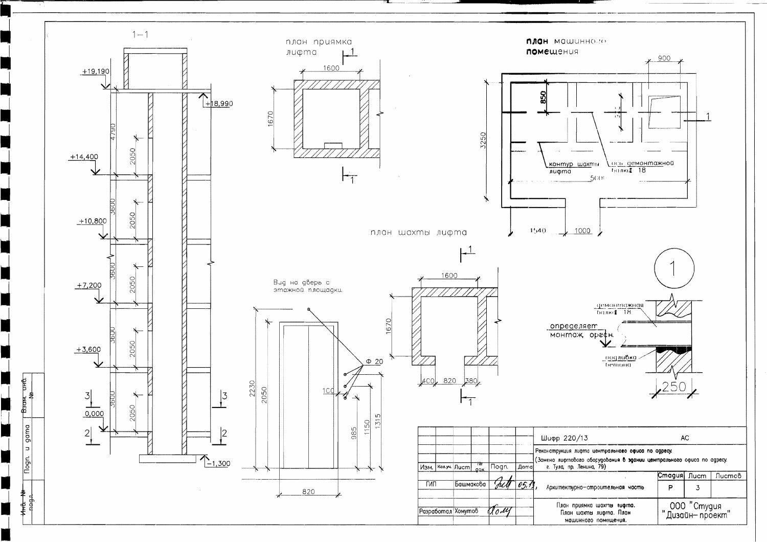

a p

٠

 $\Box$ 

H

N

٦

 $\begin{bmatrix} \text{B}30M, & \text{UH}\text{O}, & \text{N}\text{O}, & \text{N}\text{O}, & \text{N}\text{O}, & \text{N}\text{O}, & \text{N}\text{O}, & \text{N}\text{O}, & \text{N}\text{O}, & \text{N}\text{O}, & \text{N}\text{O}, & \text{N}\text{O}, & \text{N}\text{O}, & \text{N}\text{O}, & \text{N}\text{O}, & \text{N}\text{O}, & \text{N}\text{O}, & \text{N}\text{O}, & \text{N}\text{O}, & \text{N}\text{O}, & \text{N}\text{O}, & \text{$ 

gama

 $\vert$  =

**Tlogn.** 

å

HHC.

noga<br>a

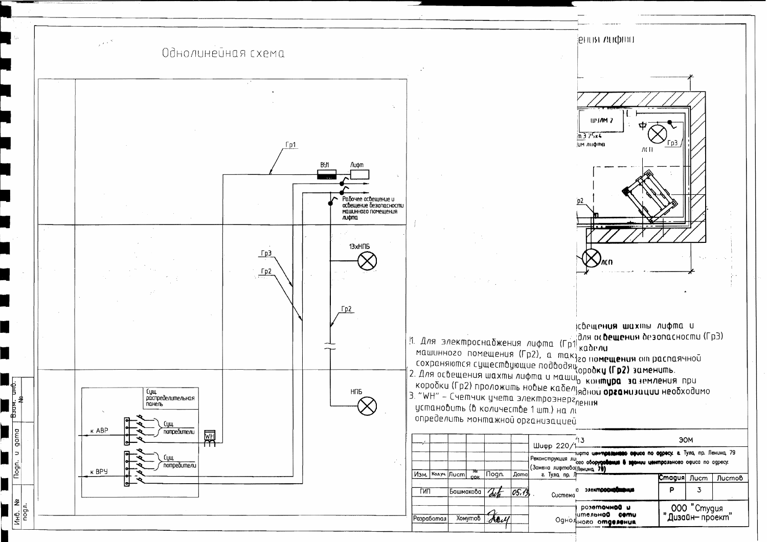Однолинейная схема



ісвещения шахты лифта и 1. Для электроснабжения лифта (Гр1) кабели совещения безопасности (Гр3)  $\begin{bmatrix} 11 & 11/18 & 3/18 \kappa \end{bmatrix}$  помещения (Гр2), а makyzo по**мещения** от распаячной<br>машинного помещения (Гр2), а makyzo по**мещения** от распаячной<br>сохраняются существующие подводящ<sub>ородку</sub> (Гр2) заменить.<br>2. Для освещен 3. "WH" - Счетчик учета электроэнерг<sub>ления</sub> установить (в количестве 1 шт.) на лі определить монтажной организацией

|             |  |                         |             |                      |                      | $\underbrace{\text{Muapp 220/1}}$            |  |
|-------------|--|-------------------------|-------------|----------------------|----------------------|----------------------------------------------|--|
|             |  |                         | 'NT         |                      |                      | 1UQ<br>Реконструкция ли<br>(Замена лифтовопе |  |
| Изм.<br>ГИП |  | Колуч Лист<br>Башмакова | <b>CIQK</b> | . <mark>Nogn.</mark> | <b>Doma</b><br>05.13 | а Тула, пр. Л<br>n<br>Система                |  |
| Разработал  |  | <b>Xomymob</b>          |             | Arry                 |                      | ur<br><sub>нн</sub> існрО                    |  |

UHO.

 $\frac{1}{6}$ 

 $\Rightarrow$ 



| 3<br>ЭОМ                                                                                                                           |                                |  |               |  |  |  |  |
|------------------------------------------------------------------------------------------------------------------------------------|--------------------------------|--|---------------|--|--|--|--|
| рто централива офисо по одресу в Тула, пр. Ленина, 79<br>о оборудования в звении центральново офиса по адресу.<br><b>внина</b> 79) |                                |  |               |  |  |  |  |
|                                                                                                                                    | <b>Cmaguя  Лист</b>            |  | <b>Листов</b> |  |  |  |  |
| электросноб <b>шения</b>                                                                                                           | P                              |  |               |  |  |  |  |
| розеточной и<br>тельной сети<br><b>IOBO OMQEAGHUR</b>                                                                              | 000 "Студия"<br>Дизайн-проект" |  |               |  |  |  |  |